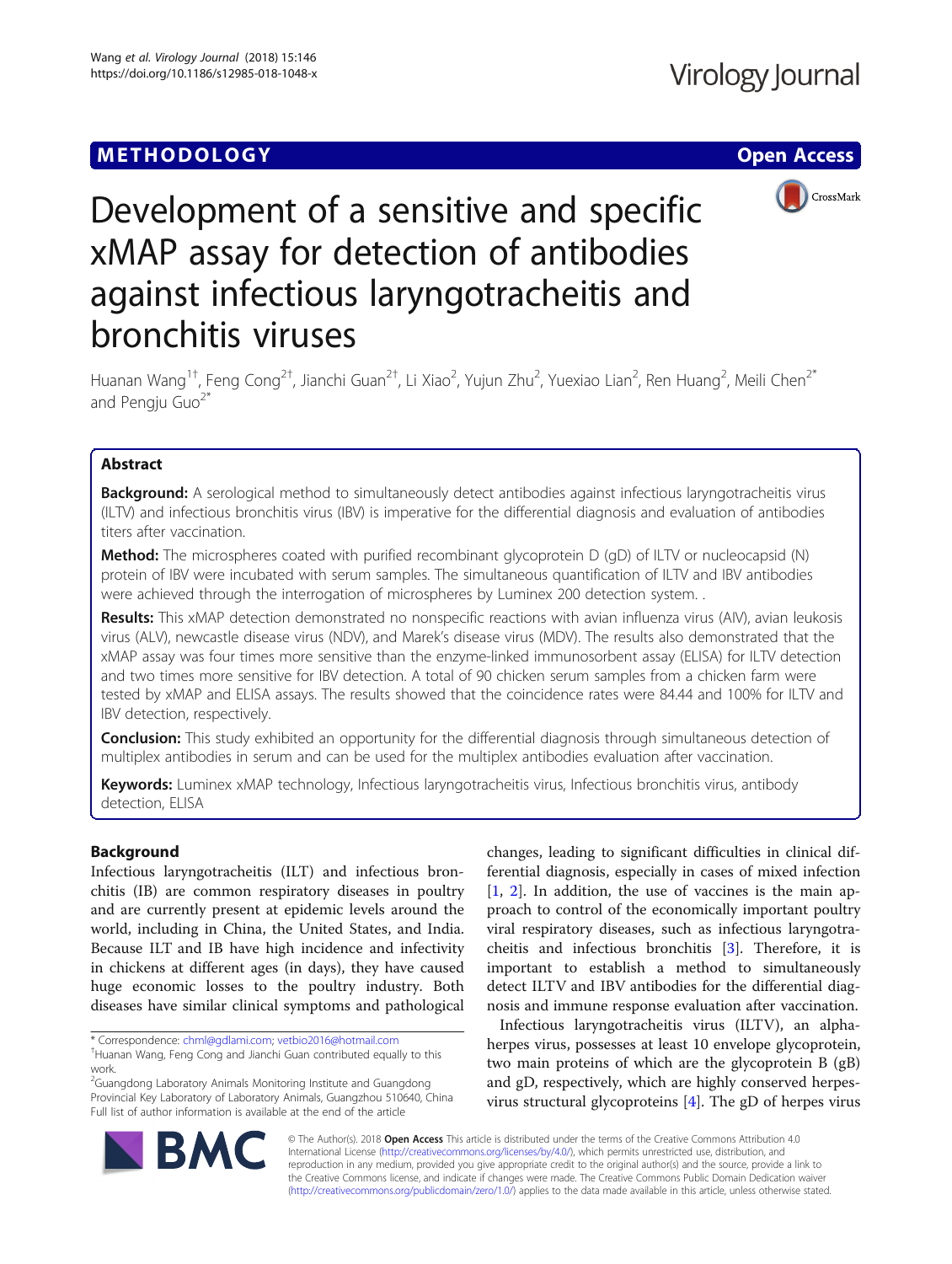# **METHODOLOGY CONSUMING ACCESS CONSUMING ACCESS**



# Development of a sensitive and specific xMAP assay for detection of antibodies against infectious laryngotracheitis and bronchitis viruses

Huanan Wang<sup>1†</sup>, Feng Cong<sup>2†</sup>, Jianchi Guan<sup>2†</sup>, Li Xiao<sup>2</sup>, Yujun Zhu<sup>2</sup>, Yuexiao Lian<sup>2</sup>, Ren Huang<sup>2</sup>, Meili Chen<sup>2\*</sup> and Pengiu Guo $^{2*}$ 

# Abstract

Background: A serological method to simultaneously detect antibodies against infectious laryngotracheitis virus (ILTV) and infectious bronchitis virus (IBV) is imperative for the differential diagnosis and evaluation of antibodies titers after vaccination.

**Method:** The microspheres coated with purified recombinant glycoprotein D (qD) of ILTV or nucleocapsid (N) protein of IBV were incubated with serum samples. The simultaneous quantification of ILTV and IBV antibodies were achieved through the interrogation of microspheres by Luminex 200 detection system. .

Results: This xMAP detection demonstrated no nonspecific reactions with avian influenza virus (AIV), avian leukosis virus (ALV), newcastle disease virus (NDV), and Marek's disease virus (MDV). The results also demonstrated that the xMAP assay was four times more sensitive than the enzyme-linked immunosorbent assay (ELISA) for ILTV detection and two times more sensitive for IBV detection. A total of 90 chicken serum samples from a chicken farm were tested by xMAP and ELISA assays. The results showed that the coincidence rates were 84.44 and 100% for ILTV and IBV detection, respectively.

**Conclusion:** This study exhibited an opportunity for the differential diagnosis through simultaneous detection of multiplex antibodies in serum and can be used for the multiplex antibodies evaluation after vaccination.

Keywords: Luminex xMAP technology, Infectious laryngotracheitis virus, Infectious bronchitis virus, antibody detection, ELISA

# Background

Infectious laryngotracheitis (ILT) and infectious bronchitis (IB) are common respiratory diseases in poultry and are currently present at epidemic levels around the world, including in China, the United States, and India. Because ILT and IB have high incidence and infectivity in chickens at different ages (in days), they have caused huge economic losses to the poultry industry. Both diseases have similar clinical symptoms and pathological

\* Correspondence: [chml@gdlami.com](mailto:chml@gdlami.com); [vetbio2016@hotmail.com](mailto:vetbio2016@hotmail.com) †

<sup>2</sup>Guangdong Laboratory Animals Monitoring Institute and Guangdong Provincial Key Laboratory of Laboratory Animals, Guangzhou 510640, China Full list of author information is available at the end of the article

changes, leading to significant difficulties in clinical differential diagnosis, especially in cases of mixed infection [[1,](#page-6-0) [2](#page-6-0)]. In addition, the use of vaccines is the main approach to control of the economically important poultry viral respiratory diseases, such as infectious laryngotracheitis and infectious bronchitis [[3\]](#page-6-0). Therefore, it is important to establish a method to simultaneously detect ILTV and IBV antibodies for the differential diagnosis and immune response evaluation after vaccination.

Infectious laryngotracheitis virus (ILTV), an alphaherpes virus, possesses at least 10 envelope glycoprotein, two main proteins of which are the glycoprotein B (gB) and gD, respectively, which are highly conserved herpesvirus structural glycoproteins [[4\]](#page-6-0). The gD of herpes virus



© The Author(s). 2018 Open Access This article is distributed under the terms of the Creative Commons Attribution 4.0 International License [\(http://creativecommons.org/licenses/by/4.0/](http://creativecommons.org/licenses/by/4.0/)), which permits unrestricted use, distribution, and reproduction in any medium, provided you give appropriate credit to the original author(s) and the source, provide a link to the Creative Commons license, and indicate if changes were made. The Creative Commons Public Domain Dedication waiver [\(http://creativecommons.org/publicdomain/zero/1.0/](http://creativecommons.org/publicdomain/zero/1.0/)) applies to the data made available in this article, unless otherwise stated.

Huanan Wang, Feng Cong and Jianchi Guan contributed equally to this work.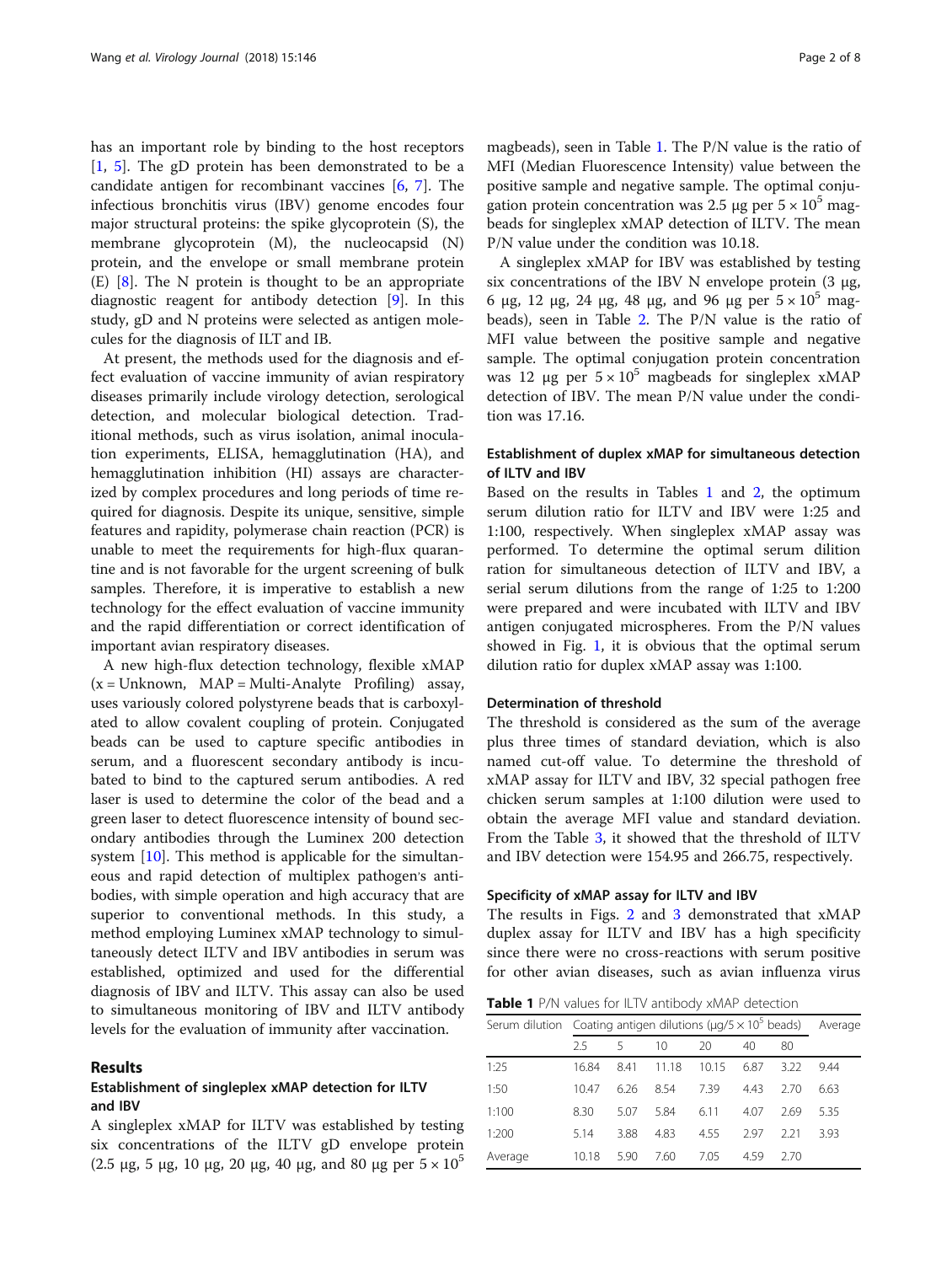has an important role by binding to the host receptors  $[1, 5]$  $[1, 5]$  $[1, 5]$  $[1, 5]$  $[1, 5]$ . The gD protein has been demonstrated to be a candidate antigen for recombinant vaccines [\[6](#page-6-0), [7\]](#page-6-0). The infectious bronchitis virus (IBV) genome encodes four major structural proteins: the spike glycoprotein (S), the membrane glycoprotein (M), the nucleocapsid (N) protein, and the envelope or small membrane protein (E) [[8\]](#page-6-0). The N protein is thought to be an appropriate diagnostic reagent for antibody detection [\[9](#page-6-0)]. In this study, gD and N proteins were selected as antigen molecules for the diagnosis of ILT and IB.

At present, the methods used for the diagnosis and effect evaluation of vaccine immunity of avian respiratory diseases primarily include virology detection, serological detection, and molecular biological detection. Traditional methods, such as virus isolation, animal inoculation experiments, ELISA, hemagglutination (HA), and hemagglutination inhibition (HI) assays are characterized by complex procedures and long periods of time required for diagnosis. Despite its unique, sensitive, simple features and rapidity, polymerase chain reaction (PCR) is unable to meet the requirements for high-flux quarantine and is not favorable for the urgent screening of bulk samples. Therefore, it is imperative to establish a new technology for the effect evaluation of vaccine immunity and the rapid differentiation or correct identification of important avian respiratory diseases.

A new high-flux detection technology, flexible xMAP  $(x = Unknown, MAP = Multi-Analyte Profiling)$  assay, uses variously colored polystyrene beads that is carboxylated to allow covalent coupling of protein. Conjugated beads can be used to capture specific antibodies in serum, and a fluorescent secondary antibody is incubated to bind to the captured serum antibodies. A red laser is used to determine the color of the bead and a green laser to detect fluorescence intensity of bound secondary antibodies through the Luminex 200 detection system [\[10\]](#page-6-0). This method is applicable for the simultaneous and rapid detection of multiplex pathogen's antibodies, with simple operation and high accuracy that are superior to conventional methods. In this study, a method employing Luminex xMAP technology to simultaneously detect ILTV and IBV antibodies in serum was established, optimized and used for the differential diagnosis of IBV and ILTV. This assay can also be used to simultaneous monitoring of IBV and ILTV antibody levels for the evaluation of immunity after vaccination.

## Results

# Establishment of singleplex xMAP detection for ILTV and IBV

A singleplex xMAP for ILTV was established by testing six concentrations of the ILTV gD envelope protein (2.5 μg, 5 μg, 10 μg, 20 μg, 40 μg, and 80 μg per  $5 \times 10^5$ )

magbeads), seen in Table 1. The P/N value is the ratio of MFI (Median Fluorescence Intensity) value between the positive sample and negative sample. The optimal conjugation protein concentration was 2.5 μg per  $5 \times 10^5$  magbeads for singleplex xMAP detection of ILTV. The mean P/N value under the condition was 10.18.

A singleplex xMAP for IBV was established by testing six concentrations of the IBV N envelope protein (3 μg, 6 μg, 12 μg, 24 μg, 48 μg, and 96 μg per  $5 \times 10^5$  magbeads), seen in Table [2](#page-2-0). The P/N value is the ratio of MFI value between the positive sample and negative sample. The optimal conjugation protein concentration was 12 μg per  $5 \times 10^5$  magbeads for singleplex xMAP detection of IBV. The mean P/N value under the condition was 17.16.

# Establishment of duplex xMAP for simultaneous detection of ILTV and IBV

Based on the results in Tables 1 and [2](#page-2-0), the optimum serum dilution ratio for ILTV and IBV were 1:25 and 1:100, respectively. When singleplex xMAP assay was performed. To determine the optimal serum dilition ration for simultaneous detection of ILTV and IBV, a serial serum dilutions from the range of 1:25 to 1:200 were prepared and were incubated with ILTV and IBV antigen conjugated microspheres. From the P/N values showed in Fig. [1](#page-2-0), it is obvious that the optimal serum dilution ratio for duplex xMAP assay was 1:100.

#### Determination of threshold

The threshold is considered as the sum of the average plus three times of standard deviation, which is also named cut-off value. To determine the threshold of xMAP assay for ILTV and IBV, 32 special pathogen free chicken serum samples at 1:100 dilution were used to obtain the average MFI value and standard deviation. From the Table [3](#page-3-0), it showed that the threshold of ILTV and IBV detection were 154.95 and 266.75, respectively.

#### Specificity of xMAP assay for ILTV and IBV

The results in Figs. [2](#page-3-0) and [3](#page-3-0) demonstrated that xMAP duplex assay for ILTV and IBV has a high specificity since there were no cross-reactions with serum positive for other avian diseases, such as avian influenza virus

Table 1 P/N values for ILTV antibody xMAP detection

| Serum dilution Coating antigen dilutions ( $\mu$ g/5 $\times$ 10 <sup>5</sup> beads) |       | Average |       |       |      |      |      |
|--------------------------------------------------------------------------------------|-------|---------|-------|-------|------|------|------|
|                                                                                      | 25    | 5       | 10    | 20    | 40   | 80   |      |
| 1:25                                                                                 | 16.84 | 8.41    | 11.18 | 10.15 | 6.87 | 322  | 9.44 |
| 1:50                                                                                 | 10.47 | 6.26    | 8.54  | 7.39  | 4.43 | 2.70 | 6.63 |
| 1:100                                                                                | 8.30  | 5.07    | 5.84  | 6.11  | 4.07 | 2.69 | 5.35 |
| 1:200                                                                                | 5.14  | 3.88    | 4.83  | 4.55  | 297  | 221  | 3.93 |
| Average                                                                              | 10.18 | 5.90    | 7.60  | 7.05  | 459  | 2.70 |      |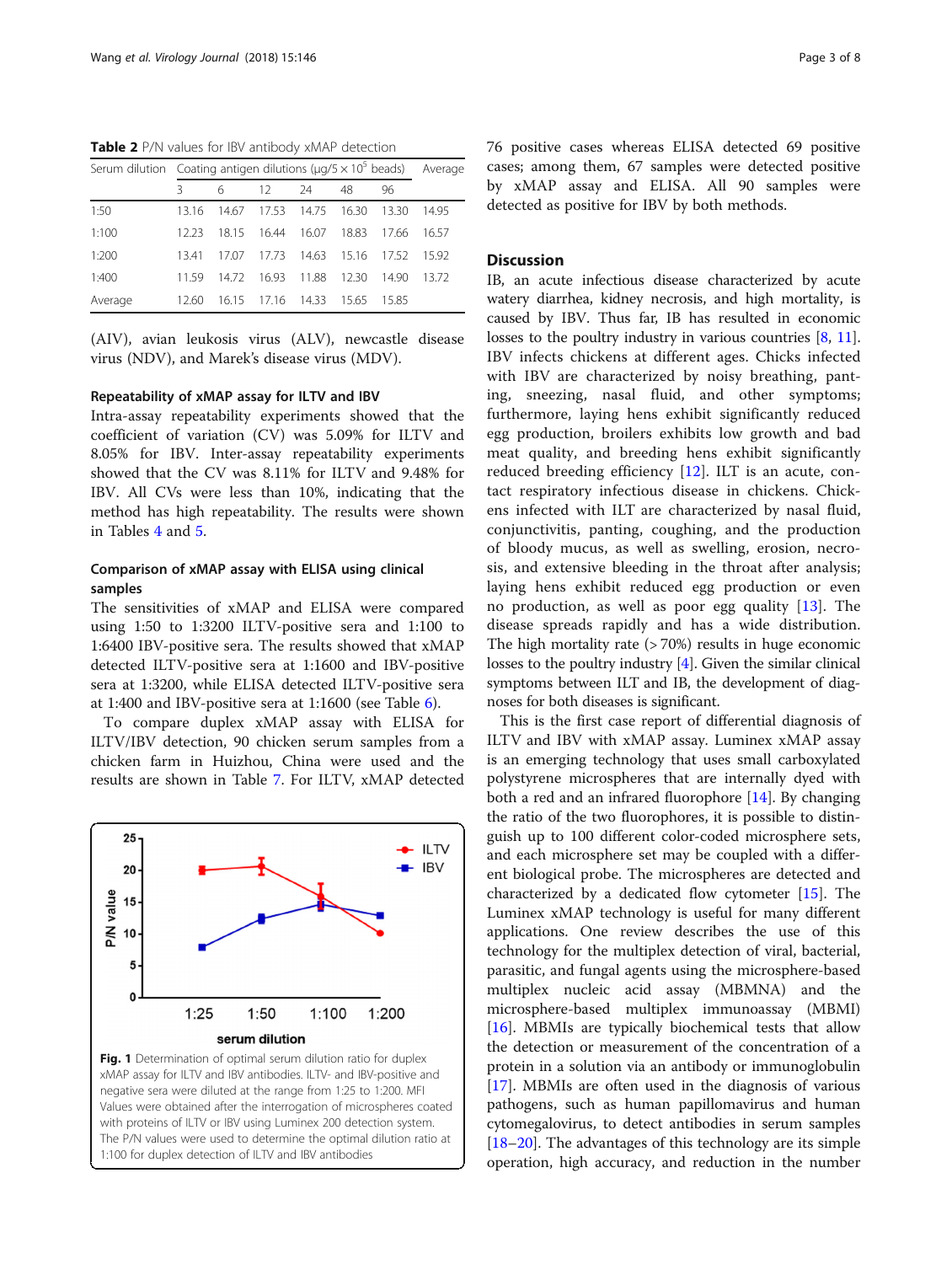<span id="page-2-0"></span>Table 2 P/N values for IBV antibody xMAP detection

| Serum dilution Coating antigen dilutions ( $\mu$ g/5 × 10 <sup>5</sup> beads) Average |       |       |       |       |       |      |       |
|---------------------------------------------------------------------------------------|-------|-------|-------|-------|-------|------|-------|
|                                                                                       | 3     | 6     | 12    | 24    | 48    | 96   |       |
| 1:50                                                                                  | 13.16 | 1467  | 1753  | 14.75 | 16.30 | 1330 | 1495  |
| 1:100                                                                                 | 12.23 | 1815  | 16.44 | 16.07 | 18.83 | 1766 | 16.57 |
| 1:200                                                                                 | 13.41 | 17.07 | 1773  | 14.63 | 1516  | 1752 | 1592  |
| 1:400                                                                                 | 1159  | 1472  | 16.93 | 11.88 | 12.30 | 1490 | 13.72 |
| Average                                                                               | 12.60 | 16.15 | 17.16 | 14.33 | 1565  | 1585 |       |

(AIV), avian leukosis virus (ALV), newcastle disease virus (NDV), and Marek's disease virus (MDV).

#### Repeatability of xMAP assay for ILTV and IBV

Intra-assay repeatability experiments showed that the coefficient of variation (CV) was 5.09% for ILTV and 8.05% for IBV. Inter-assay repeatability experiments showed that the CV was 8.11% for ILTV and 9.48% for IBV. All CVs were less than 10%, indicating that the method has high repeatability. The results were shown in Tables [4](#page-4-0) and [5](#page-4-0).

# Comparison of xMAP assay with ELISA using clinical samples

The sensitivities of xMAP and ELISA were compared using 1:50 to 1:3200 ILTV-positive sera and 1:100 to 1:6400 IBV-positive sera. The results showed that xMAP detected ILTV-positive sera at 1:1600 and IBV-positive sera at 1:3200, while ELISA detected ILTV-positive sera at 1:400 and IBV-positive sera at 1:1600 (see Table  $6$ ).

To compare duplex xMAP assay with ELISA for ILTV/IBV detection, 90 chicken serum samples from a chicken farm in Huizhou, China were used and the results are shown in Table [7.](#page-5-0) For ILTV, xMAP detected



76 positive cases whereas ELISA detected 69 positive cases; among them, 67 samples were detected positive by xMAP assay and ELISA. All 90 samples were detected as positive for IBV by both methods.

## **Discussion**

IB, an acute infectious disease characterized by acute watery diarrhea, kidney necrosis, and high mortality, is caused by IBV. Thus far, IB has resulted in economic losses to the poultry industry in various countries [\[8](#page-6-0), [11](#page-6-0)]. IBV infects chickens at different ages. Chicks infected with IBV are characterized by noisy breathing, panting, sneezing, nasal fluid, and other symptoms; furthermore, laying hens exhibit significantly reduced egg production, broilers exhibits low growth and bad meat quality, and breeding hens exhibit significantly reduced breeding efficiency [[12\]](#page-7-0). ILT is an acute, contact respiratory infectious disease in chickens. Chickens infected with ILT are characterized by nasal fluid, conjunctivitis, panting, coughing, and the production of bloody mucus, as well as swelling, erosion, necrosis, and extensive bleeding in the throat after analysis; laying hens exhibit reduced egg production or even no production, as well as poor egg quality [[13\]](#page-7-0). The disease spreads rapidly and has a wide distribution. The high mortality rate  $($  > 70%) results in huge economic losses to the poultry industry [\[4](#page-6-0)]. Given the similar clinical symptoms between ILT and IB, the development of diagnoses for both diseases is significant.

This is the first case report of differential diagnosis of ILTV and IBV with xMAP assay. Luminex xMAP assay is an emerging technology that uses small carboxylated polystyrene microspheres that are internally dyed with both a red and an infrared fluorophore [\[14](#page-7-0)]. By changing the ratio of the two fluorophores, it is possible to distinguish up to 100 different color-coded microsphere sets, and each microsphere set may be coupled with a different biological probe. The microspheres are detected and characterized by a dedicated flow cytometer [\[15](#page-7-0)]. The Luminex xMAP technology is useful for many different applications. One review describes the use of this technology for the multiplex detection of viral, bacterial, parasitic, and fungal agents using the microsphere-based multiplex nucleic acid assay (MBMNA) and the microsphere-based multiplex immunoassay (MBMI) [[16\]](#page-7-0). MBMIs are typically biochemical tests that allow the detection or measurement of the concentration of a protein in a solution via an antibody or immunoglobulin [[17\]](#page-7-0). MBMIs are often used in the diagnosis of various pathogens, such as human papillomavirus and human cytomegalovirus, to detect antibodies in serum samples [[18](#page-7-0)–[20](#page-7-0)]. The advantages of this technology are its simple operation, high accuracy, and reduction in the number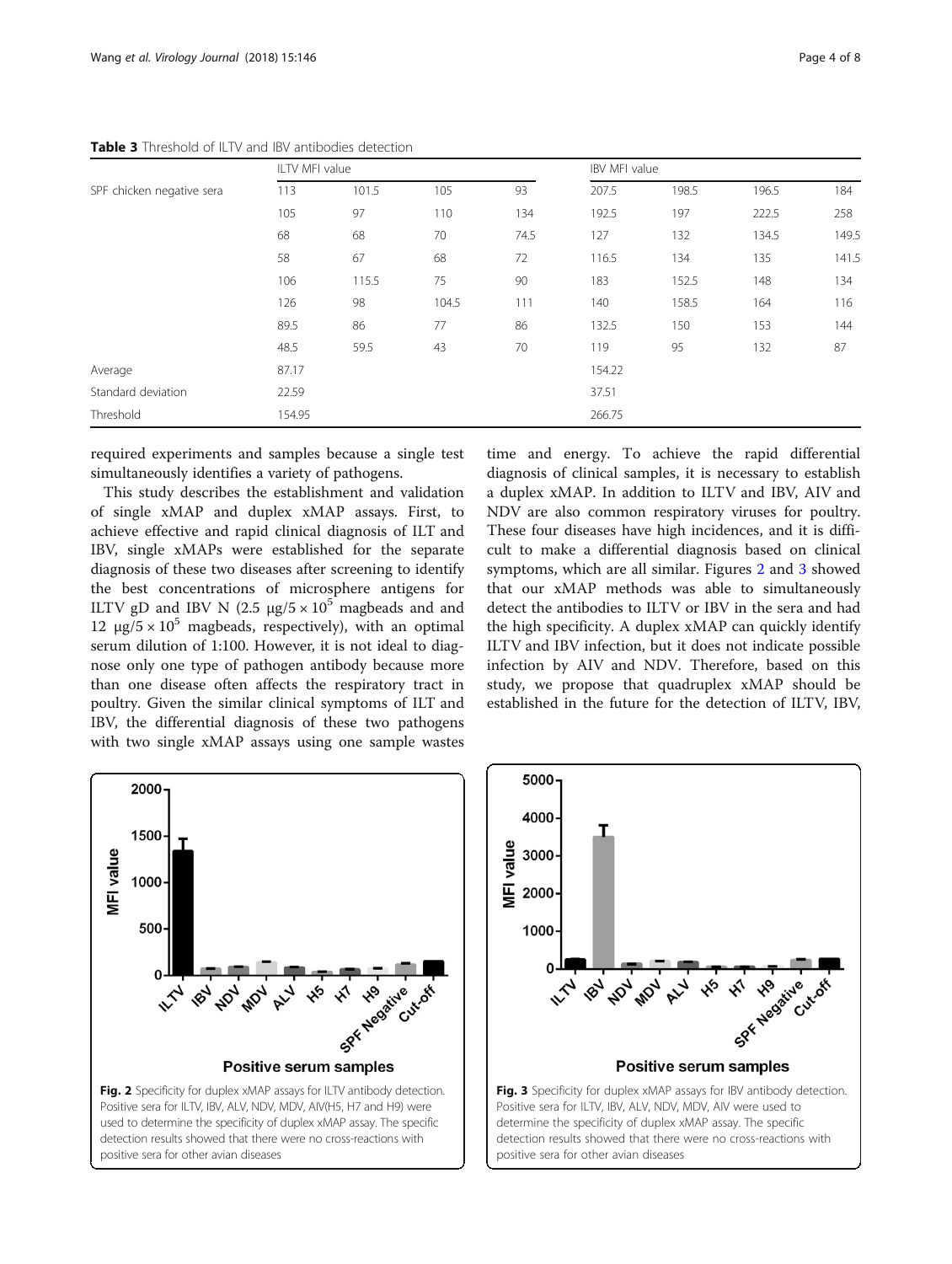|                           |        | ILTV MFI value |       |      |        | IBV MFI value |       |       |  |
|---------------------------|--------|----------------|-------|------|--------|---------------|-------|-------|--|
| SPF chicken negative sera | 113    | 101.5          | 105   | 93   | 207.5  | 198.5         | 196.5 | 184   |  |
|                           | 105    | 97             | 110   | 134  | 192.5  | 197           | 222.5 | 258   |  |
|                           | 68     | 68             | 70    | 74.5 | 127    | 132           | 134.5 | 149.5 |  |
|                           | 58     | 67             | 68    | 72   | 116.5  | 134           | 135   | 141.5 |  |
|                           | 106    | 115.5          | 75    | 90   | 183    | 152.5         | 148   | 134   |  |
|                           | 126    | 98             | 104.5 | 111  | 140    | 158.5         | 164   | 116   |  |
|                           | 89.5   | 86             | 77    | 86   | 132.5  | 150           | 153   | 144   |  |
|                           | 48.5   | 59.5           | 43    | 70   | 119    | 95            | 132   | 87    |  |
| Average                   | 87.17  |                |       |      | 154.22 |               |       |       |  |
| Standard deviation        | 22.59  |                |       |      | 37.51  |               |       |       |  |
| Threshold                 | 154.95 |                |       |      | 266.75 |               |       |       |  |

<span id="page-3-0"></span>Table 3 Threshold of ILTV and IBV antibodies detection

required experiments and samples because a single test simultaneously identifies a variety of pathogens.

This study describes the establishment and validation of single xMAP and duplex xMAP assays. First, to achieve effective and rapid clinical diagnosis of ILT and IBV, single xMAPs were established for the separate diagnosis of these two diseases after screening to identify the best concentrations of microsphere antigens for ILTV gD and IBV N (2.5  $\mu$ g/5 × 10<sup>5</sup> magbeads and and 12 μg/5  $\times$  10<sup>5</sup> magbeads, respectively), with an optimal serum dilution of 1:100. However, it is not ideal to diagnose only one type of pathogen antibody because more than one disease often affects the respiratory tract in poultry. Given the similar clinical symptoms of ILT and IBV, the differential diagnosis of these two pathogens with two single xMAP assays using one sample wastes

time and energy. To achieve the rapid differential diagnosis of clinical samples, it is necessary to establish a duplex xMAP. In addition to ILTV and IBV, AIV and NDV are also common respiratory viruses for poultry. These four diseases have high incidences, and it is difficult to make a differential diagnosis based on clinical symptoms, which are all similar. Figures 2 and 3 showed that our xMAP methods was able to simultaneously detect the antibodies to ILTV or IBV in the sera and had the high specificity. A duplex xMAP can quickly identify ILTV and IBV infection, but it does not indicate possible infection by AIV and NDV. Therefore, based on this study, we propose that quadruplex xMAP should be established in the future for the detection of ILTV, IBV,





positive sera for other avian diseases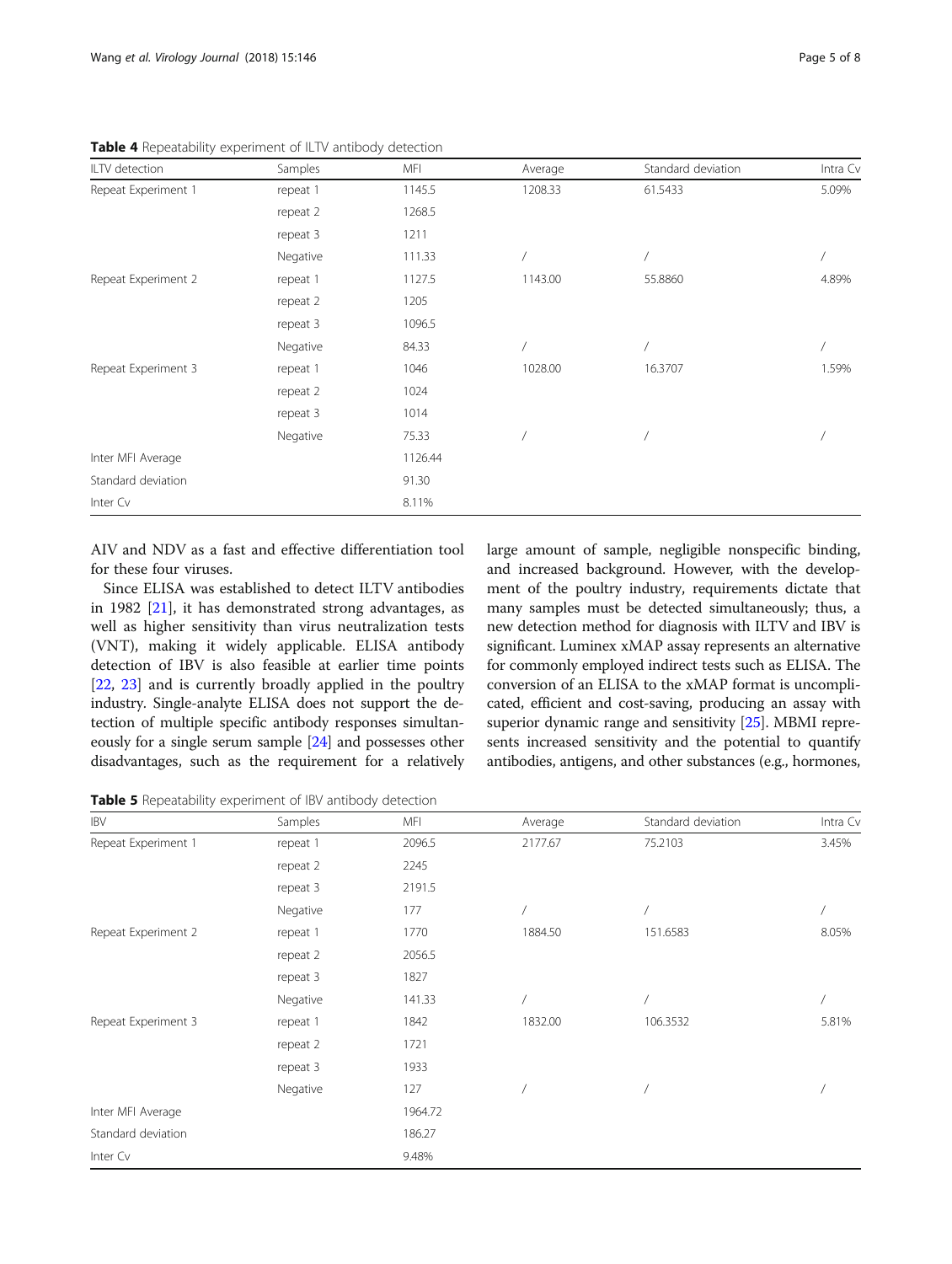| ILTV detection      | Samples  | MFI     | Average | Standard deviation | Intra Cv |
|---------------------|----------|---------|---------|--------------------|----------|
| Repeat Experiment 1 | repeat 1 | 1145.5  | 1208.33 | 61.5433            | 5.09%    |
|                     | repeat 2 | 1268.5  |         |                    |          |
|                     | repeat 3 | 1211    |         |                    |          |
|                     | Negative | 111.33  |         |                    |          |
| Repeat Experiment 2 | repeat 1 | 1127.5  | 1143.00 | 55.8860            | 4.89%    |
|                     | repeat 2 | 1205    |         |                    |          |
|                     | repeat 3 | 1096.5  |         |                    |          |
|                     | Negative | 84.33   |         |                    |          |
| Repeat Experiment 3 | repeat 1 | 1046    | 1028.00 | 16.3707            | 1.59%    |
|                     | repeat 2 | 1024    |         |                    |          |
|                     | repeat 3 | 1014    |         |                    |          |
|                     | Negative | 75.33   |         |                    |          |
| Inter MFI Average   |          | 1126.44 |         |                    |          |
| Standard deviation  |          | 91.30   |         |                    |          |
| Inter Cv            |          | 8.11%   |         |                    |          |

<span id="page-4-0"></span>Table 4 Repeatability experiment of ILTV antibody detection

AIV and NDV as a fast and effective differentiation tool for these four viruses.

Since ELISA was established to detect ILTV antibodies in 1982 [\[21](#page-7-0)], it has demonstrated strong advantages, as well as higher sensitivity than virus neutralization tests (VNT), making it widely applicable. ELISA antibody detection of IBV is also feasible at earlier time points [[22,](#page-7-0) [23\]](#page-7-0) and is currently broadly applied in the poultry industry. Single-analyte ELISA does not support the detection of multiple specific antibody responses simultaneously for a single serum sample [\[24\]](#page-7-0) and possesses other disadvantages, such as the requirement for a relatively large amount of sample, negligible nonspecific binding, and increased background. However, with the development of the poultry industry, requirements dictate that many samples must be detected simultaneously; thus, a new detection method for diagnosis with ILTV and IBV is significant. Luminex xMAP assay represents an alternative for commonly employed indirect tests such as ELISA. The conversion of an ELISA to the xMAP format is uncomplicated, efficient and cost-saving, producing an assay with superior dynamic range and sensitivity [\[25\]](#page-7-0). MBMI represents increased sensitivity and the potential to quantify antibodies, antigens, and other substances (e.g., hormones,

Table 5 Repeatability experiment of IBV antibody detection

| <b>IBV</b>          | Samples  | MFI     | Average        | Standard deviation | Intra Cv |
|---------------------|----------|---------|----------------|--------------------|----------|
| Repeat Experiment 1 | repeat 1 | 2096.5  | 2177.67        | 75.2103            | 3.45%    |
|                     | repeat 2 | 2245    |                |                    |          |
|                     | repeat 3 | 2191.5  |                |                    |          |
|                     | Negative | 177     |                |                    |          |
| Repeat Experiment 2 | repeat 1 | 1770    | 1884.50        | 151.6583           | 8.05%    |
|                     | repeat 2 | 2056.5  |                |                    |          |
|                     | repeat 3 | 1827    |                |                    |          |
|                     | Negative | 141.33  |                |                    |          |
| Repeat Experiment 3 | repeat 1 | 1842    | 1832.00        | 106.3532           | 5.81%    |
|                     | repeat 2 | 1721    |                |                    |          |
|                     | repeat 3 | 1933    |                |                    |          |
|                     | Negative | 127     | $\overline{1}$ |                    |          |
| Inter MFI Average   |          | 1964.72 |                |                    |          |
| Standard deviation  |          | 186.27  |                |                    |          |
| Inter Cv            |          | 9.48%   |                |                    |          |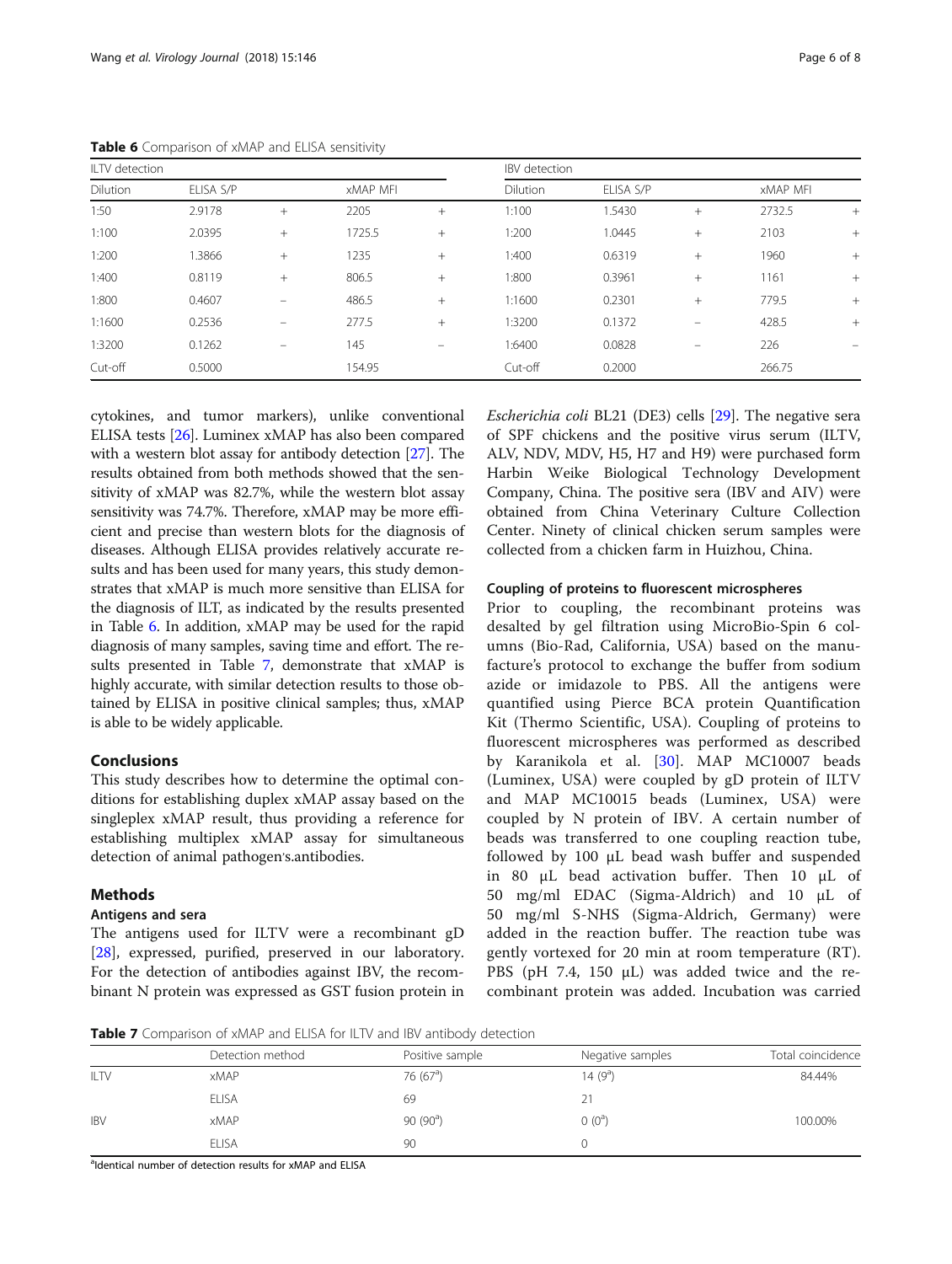| ILTV detection |           |                   |                 |        | IBV detection   |           |                   |                 |        |
|----------------|-----------|-------------------|-----------------|--------|-----------------|-----------|-------------------|-----------------|--------|
| Dilution       | ELISA S/P |                   | <b>XMAP MFI</b> |        | <b>Dilution</b> | ELISA S/P |                   | <b>XMAP MFI</b> |        |
| 1:50           | 2.9178    | $^{+}$            | 2205            | $+$    | 1:100           | 1.5430    | $+$               | 2732.5          | $^{+}$ |
| 1:100          | 2.0395    | $^{+}$            | 1725.5          | $+$    | 1:200           | 1.0445    | $^{+}$            | 2103            | $+$    |
| 1:200          | 1.3866    | $+$               | 1235            | $+$    | 1:400           | 0.6319    | $+$               | 1960            | $+$    |
| 1:400          | 0.8119    | $^{+}$            | 806.5           | $^{+}$ | 1:800           | 0.3961    | $^{+}$            | 1161            | $+$    |
| 1:800          | 0.4607    |                   | 486.5           | $^{+}$ | 1:1600          | 0.2301    | $+$               | 779.5           | $+$    |
| 1:1600         | 0.2536    | $\qquad \qquad =$ | 277.5           | $^{+}$ | 1:3200          | 0.1372    | $\qquad \qquad =$ | 428.5           | $+$    |
| 1:3200         | 0.1262    | $\equiv$          | 145             | -      | 1:6400          | 0.0828    |                   | 226             |        |
| Cut-off        | 0.5000    |                   | 154.95          |        | Cut-off         | 0.2000    |                   | 266.75          |        |

<span id="page-5-0"></span>Table 6 Comparison of xMAP and ELISA sensitivity

cytokines, and tumor markers), unlike conventional ELISA tests [\[26\]](#page-7-0). Luminex xMAP has also been compared with a western blot assay for antibody detection [[27](#page-7-0)]. The results obtained from both methods showed that the sensitivity of xMAP was 82.7%, while the western blot assay sensitivity was 74.7%. Therefore, xMAP may be more efficient and precise than western blots for the diagnosis of diseases. Although ELISA provides relatively accurate results and has been used for many years, this study demonstrates that xMAP is much more sensitive than ELISA for the diagnosis of ILT, as indicated by the results presented in Table 6. In addition, xMAP may be used for the rapid diagnosis of many samples, saving time and effort. The results presented in Table 7, demonstrate that xMAP is highly accurate, with similar detection results to those obtained by ELISA in positive clinical samples; thus, xMAP is able to be widely applicable.

# Conclusions

This study describes how to determine the optimal conditions for establishing duplex xMAP assay based on the singleplex xMAP result, thus providing a reference for establishing multiplex xMAP assay for simultaneous detection of animal pathogen's.antibodies.

# Methods

## Antigens and sera

The antigens used for ILTV were a recombinant gD [[28\]](#page-7-0), expressed, purified, preserved in our laboratory. For the detection of antibodies against IBV, the recombinant N protein was expressed as GST fusion protein in Escherichia coli BL21 (DE3) cells [[29](#page-7-0)]. The negative sera of SPF chickens and the positive virus serum (ILTV, ALV, NDV, MDV, H5, H7 and H9) were purchased form Harbin Weike Biological Technology Development Company, China. The positive sera (IBV and AIV) were obtained from China Veterinary Culture Collection Center. Ninety of clinical chicken serum samples were collected from a chicken farm in Huizhou, China.

## Coupling of proteins to fluorescent microspheres

Prior to coupling, the recombinant proteins was desalted by gel filtration using MicroBio-Spin 6 columns (Bio-Rad, California, USA) based on the manufacture's protocol to exchange the buffer from sodium azide or imidazole to PBS. All the antigens were quantified using Pierce BCA protein Quantification Kit (Thermo Scientific, USA). Coupling of proteins to fluorescent microspheres was performed as described by Karanikola et al. [\[30](#page-7-0)]. MAP MC10007 beads (Luminex, USA) were coupled by gD protein of ILTV and MAP MC10015 beads (Luminex, USA) were coupled by N protein of IBV. A certain number of beads was transferred to one coupling reaction tube, followed by 100 μL bead wash buffer and suspended in 80 μL bead activation buffer. Then 10 μL of 50 mg/ml EDAC (Sigma-Aldrich) and 10 μL of 50 mg/ml S-NHS (Sigma-Aldrich, Germany) were added in the reaction buffer. The reaction tube was gently vortexed for 20 min at room temperature (RT). PBS (pH 7.4, 150 μL) was added twice and the recombinant protein was added. Incubation was carried

**Table 7** Comparison of xMAP and ELISA for ILTV and IBV antibody detection

|             | Detection method | Positive sample  | Negative samples | Total coincidence |
|-------------|------------------|------------------|------------------|-------------------|
| <b>ILTV</b> | <b>xMAP</b>      | 76 $(67a)$       | 14 $(9^a)$       | 84.44%            |
|             | <b>ELISA</b>     | 69               | 21               |                   |
| <b>IBV</b>  | <b>xMAP</b>      | $90(90^{\circ})$ | $(0)$ $(0^a)$    | 100.00%           |
|             | <b>ELISA</b>     | 90               |                  |                   |

aldentical number of detection results for xMAP and ELISA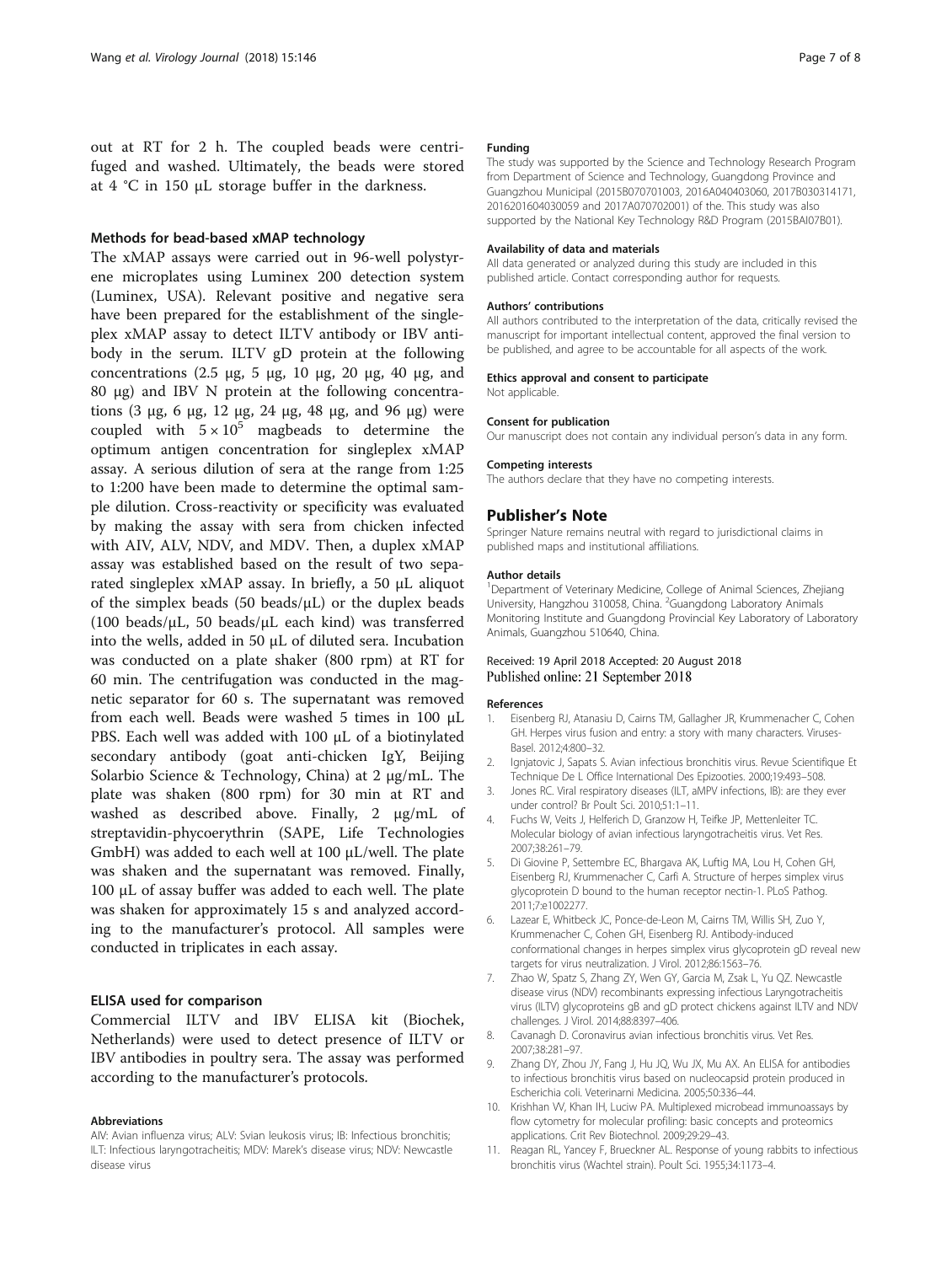<span id="page-6-0"></span>out at RT for 2 h. The coupled beads were centrifuged and washed. Ultimately, the beads were stored at 4 °C in 150 μL storage buffer in the darkness.

### Methods for bead-based xMAP technology

The xMAP assays were carried out in 96-well polystyrene microplates using Luminex 200 detection system (Luminex, USA). Relevant positive and negative sera have been prepared for the establishment of the singleplex xMAP assay to detect ILTV antibody or IBV antibody in the serum. ILTV gD protein at the following concentrations (2.5 μg, 5 μg, 10 μg, 20 μg, 40 μg, and 80 μg) and IBV N protein at the following concentrations (3 μg, 6 μg, 12 μg, 24 μg, 48 μg, and 96 μg) were coupled with  $5 \times 10^5$  magbeads to determine the optimum antigen concentration for singleplex xMAP assay. A serious dilution of sera at the range from 1:25 to 1:200 have been made to determine the optimal sample dilution. Cross-reactivity or specificity was evaluated by making the assay with sera from chicken infected with AIV, ALV, NDV, and MDV. Then, a duplex xMAP assay was established based on the result of two separated singleplex xMAP assay. In briefly, a 50 μL aliquot of the simplex beads (50 beads/ $\mu$ L) or the duplex beads (100 beads/ $\mu$ L, 50 beads/ $\mu$ L each kind) was transferred into the wells, added in 50 μL of diluted sera. Incubation was conducted on a plate shaker (800 rpm) at RT for 60 min. The centrifugation was conducted in the magnetic separator for 60 s. The supernatant was removed from each well. Beads were washed 5 times in 100 μL PBS. Each well was added with 100 μL of a biotinylated secondary antibody (goat anti-chicken IgY, Beijing Solarbio Science & Technology, China) at 2 μg/mL. The plate was shaken (800 rpm) for 30 min at RT and washed as described above. Finally, 2 μg/mL of streptavidin-phycoerythrin (SAPE, Life Technologies GmbH) was added to each well at 100 μL/well. The plate was shaken and the supernatant was removed. Finally, 100 μL of assay buffer was added to each well. The plate was shaken for approximately 15 s and analyzed according to the manufacturer's protocol. All samples were conducted in triplicates in each assay.

### ELISA used for comparison

Commercial ILTV and IBV ELISA kit (Biochek, Netherlands) were used to detect presence of ILTV or IBV antibodies in poultry sera. The assay was performed according to the manufacturer's protocols.

#### Abbreviations

AIV: Avian influenza virus; ALV: Svian leukosis virus; IB: Infectious bronchitis; ILT: Infectious laryngotracheitis; MDV: Marek's disease virus; NDV: Newcastle disease virus

#### Funding

The study was supported by the Science and Technology Research Program from Department of Science and Technology, Guangdong Province and Guangzhou Municipal (2015B070701003, 2016A040403060, 2017B030314171, 2016201604030059 and 2017A070702001) of the. This study was also supported by the National Key Technology R&D Program (2015BAI07B01).

#### Availability of data and materials

All data generated or analyzed during this study are included in this published article. Contact corresponding author for requests.

#### Authors' contributions

All authors contributed to the interpretation of the data, critically revised the manuscript for important intellectual content, approved the final version to be published, and agree to be accountable for all aspects of the work.

#### Ethics approval and consent to participate

Not applicable.

# Consent for publication

Our manuscript does not contain any individual person's data in any form.

#### Competing interests

The authors declare that they have no competing interests.

## Publisher's Note

Springer Nature remains neutral with regard to jurisdictional claims in published maps and institutional affiliations.

#### Author details

<sup>1</sup>Department of Veterinary Medicine, College of Animal Sciences, Zhejiang University, Hangzhou 310058, China. <sup>2</sup>Guangdong Laboratory Animals Monitoring Institute and Guangdong Provincial Key Laboratory of Laboratory Animals, Guangzhou 510640, China.

## Received: 19 April 2018 Accepted: 20 August 2018 Published online: 21 September 2018

#### References

- 1. Eisenberg RJ, Atanasiu D, Cairns TM, Gallagher JR, Krummenacher C, Cohen GH. Herpes virus fusion and entry: a story with many characters. Viruses-Basel. 2012;4:800–32.
- 2. Ignjatovic J, Sapats S. Avian infectious bronchitis virus. Revue Scientifique Et Technique De L Office International Des Epizooties. 2000;19:493–508.
- Jones RC. Viral respiratory diseases (ILT, aMPV infections, IB): are they ever under control? Br Poult Sci. 2010;51:1–11.
- 4. Fuchs W, Veits J, Helferich D, Granzow H, Teifke JP, Mettenleiter TC. Molecular biology of avian infectious laryngotracheitis virus. Vet Res. 2007;38:261–79.
- 5. Di Giovine P, Settembre EC, Bhargava AK, Luftig MA, Lou H, Cohen GH, Eisenberg RJ, Krummenacher C, Carfi A. Structure of herpes simplex virus glycoprotein D bound to the human receptor nectin-1. PLoS Pathog. 2011;7:e1002277.
- 6. Lazear E, Whitbeck JC, Ponce-de-Leon M, Cairns TM, Willis SH, Zuo Y, Krummenacher C, Cohen GH, Eisenberg RJ. Antibody-induced conformational changes in herpes simplex virus glycoprotein gD reveal new targets for virus neutralization. J Virol. 2012;86:1563–76.
- 7. Zhao W, Spatz S, Zhang ZY, Wen GY, Garcia M, Zsak L, Yu QZ. Newcastle disease virus (NDV) recombinants expressing infectious Laryngotracheitis virus (ILTV) glycoproteins gB and gD protect chickens against ILTV and NDV challenges. J Virol. 2014;88:8397–406.
- 8. Cavanagh D. Coronavirus avian infectious bronchitis virus. Vet Res. 2007;38:281–97.
- 9. Zhang DY, Zhou JY, Fang J, Hu JQ, Wu JX, Mu AX. An ELISA for antibodies to infectious bronchitis virus based on nucleocapsid protein produced in Escherichia coli. Veterinarni Medicina. 2005;50:336–44.
- 10. Krishhan VV, Khan IH, Luciw PA. Multiplexed microbead immunoassays by flow cytometry for molecular profiling: basic concepts and proteomics applications. Crit Rev Biotechnol. 2009;29:29–43.
- 11. Reagan RL, Yancey F, Brueckner AL. Response of young rabbits to infectious bronchitis virus (Wachtel strain). Poult Sci. 1955;34:1173–4.